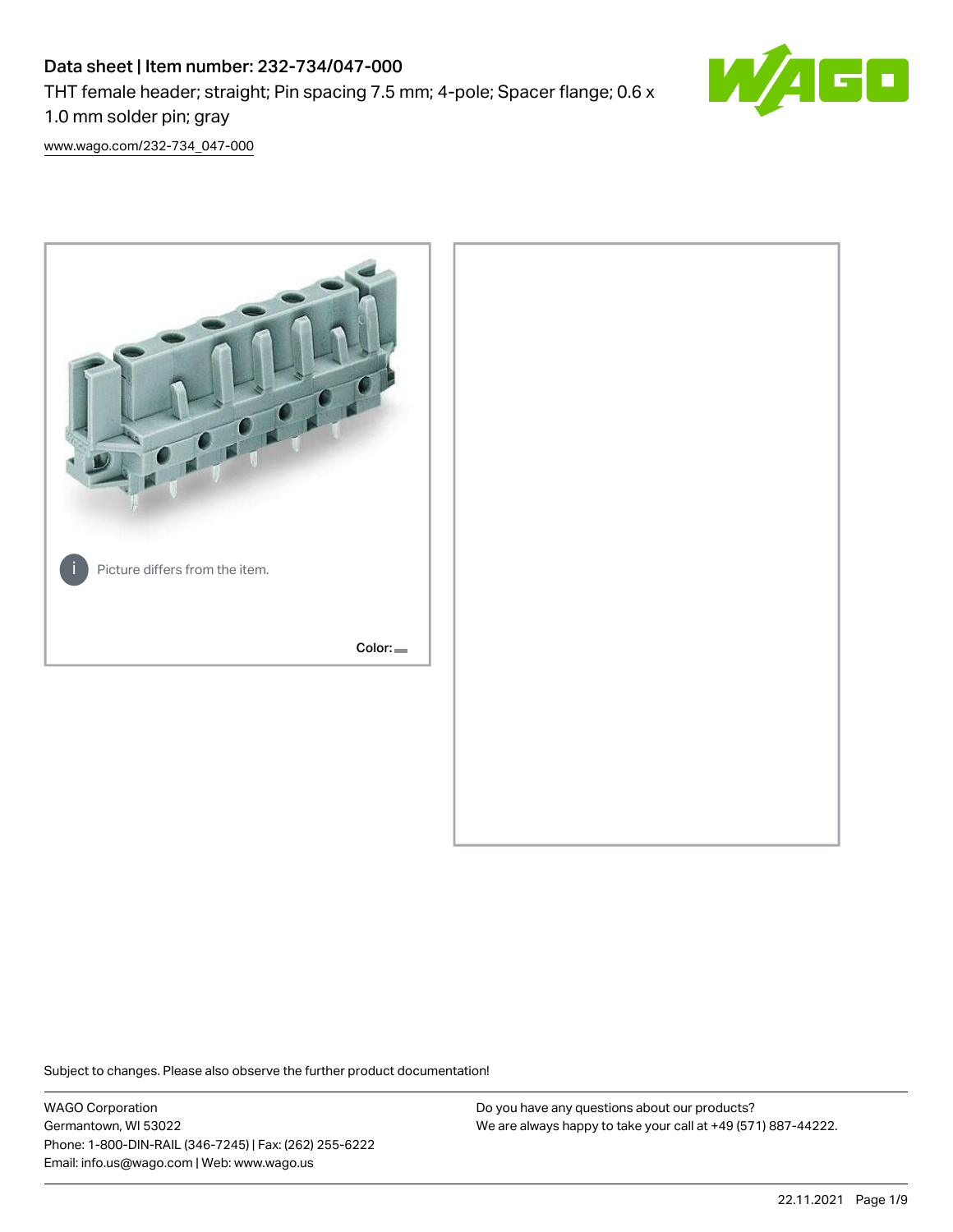# Data sheet | Item number: 232-734/047-000 THT female header; straight; Pin spacing 7.5 mm; 4-pole; Spacer flange; 0.6 x 1.0 mm solder pin; gray



[www.wago.com/232-734\\_047-000](http://www.wago.com/232-734_047-000)



Subject to changes. Please also observe the further product documentation!

WAGO Corporation Germantown, WI 53022 Phone: 1-800-DIN-RAIL (346-7245) | Fax: (262) 255-6222 Email: info.us@wago.com | Web: www.wago.us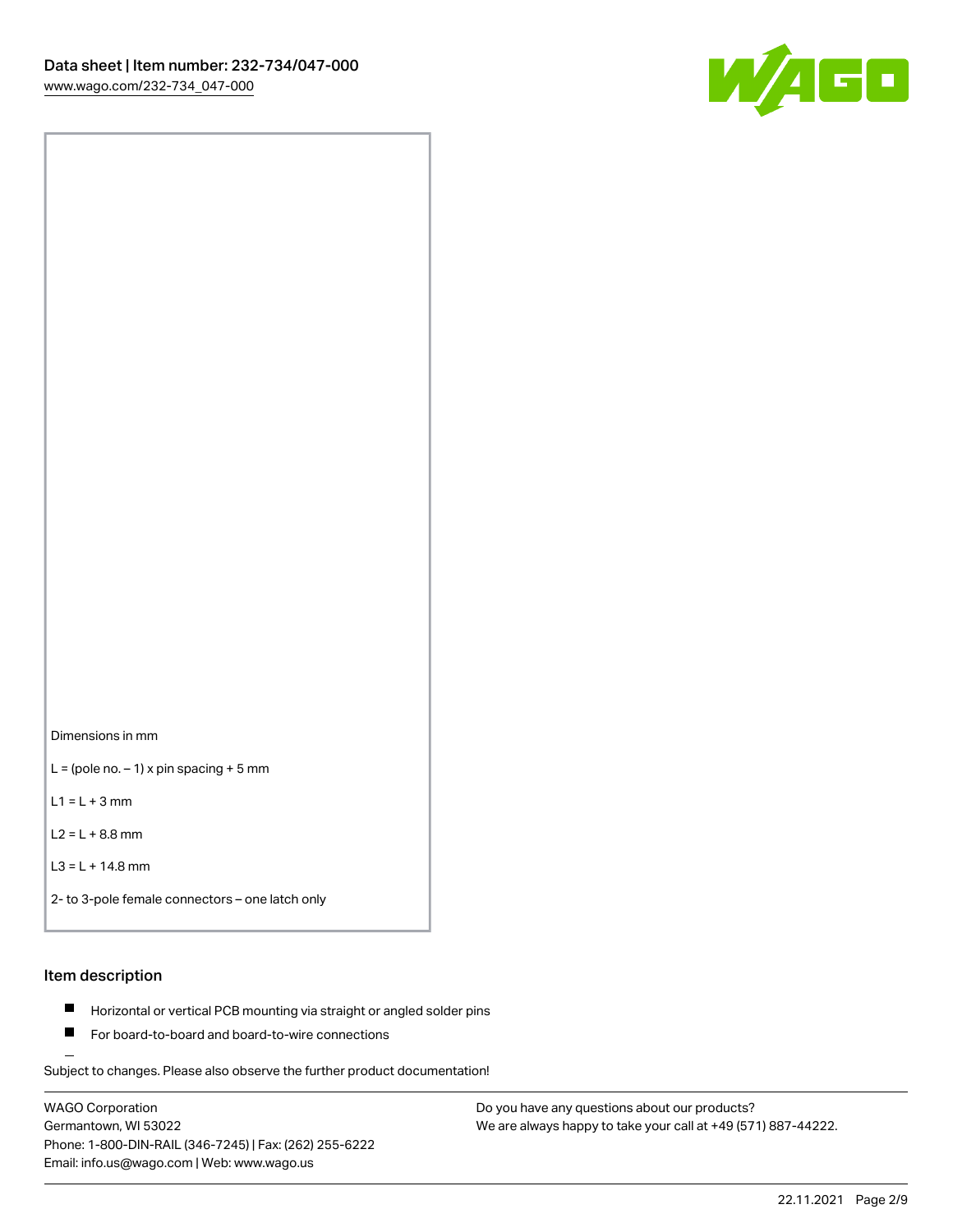

Dimensions in mm

 $L =$  (pole no.  $-1$ ) x pin spacing + 5 mm

 $L1 = L + 3$  mm

 $L2 = L + 8.8$  mm

```
L3 = L + 14.8 mm
```

```
2- to 3-pole female connectors – one latch only
```
# Item description

- **Horizontal or vertical PCB mounting via straight or angled solder pins**
- For board-to-board and board-to-wire connections

Subject to changes. Please also observe the further product documentation!

WAGO Corporation Germantown, WI 53022 Phone: 1-800-DIN-RAIL (346-7245) | Fax: (262) 255-6222 Email: info.us@wago.com | Web: www.wago.us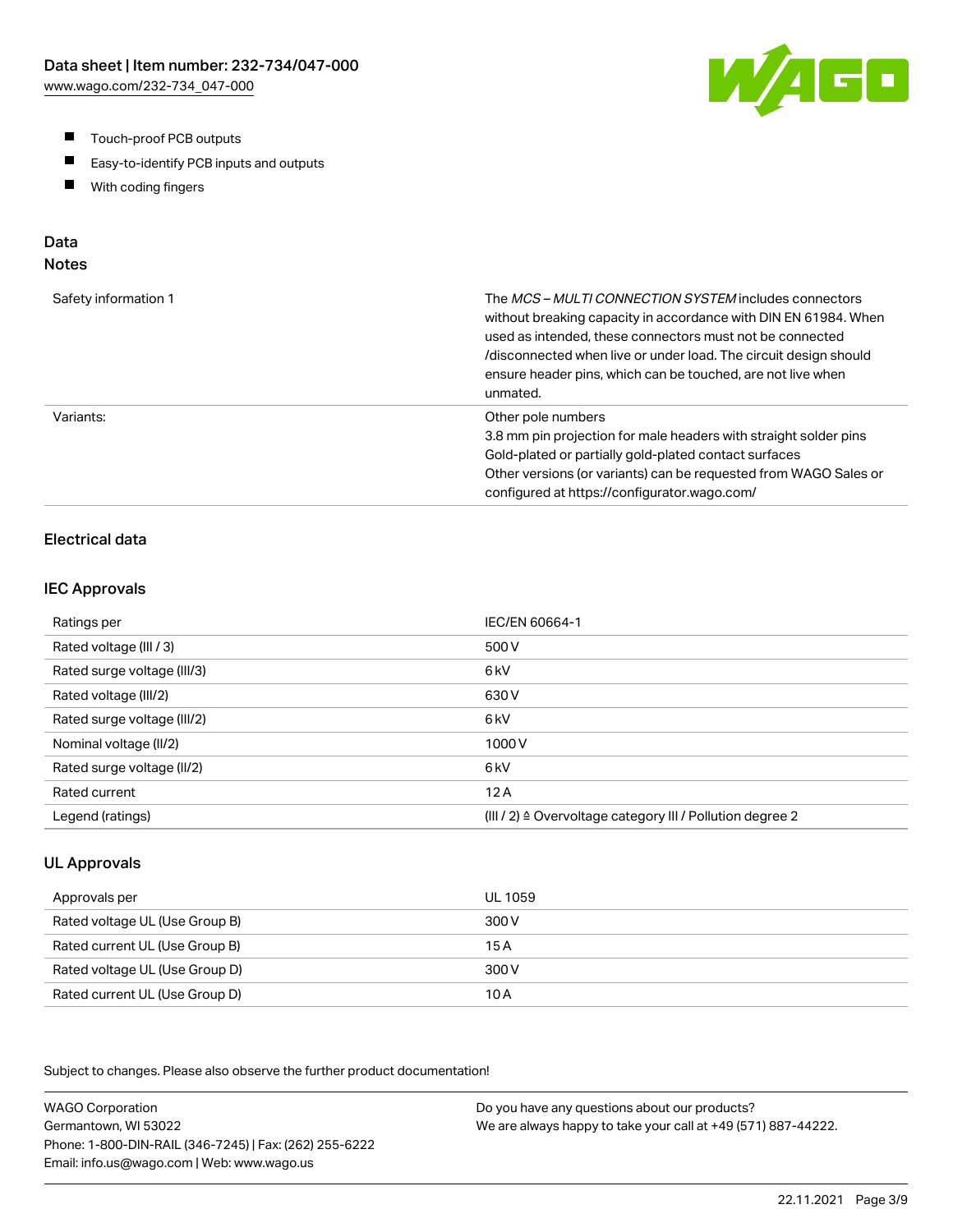- $\blacksquare$ Touch-proof PCB outputs
- $\blacksquare$ Easy-to-identify PCB inputs and outputs
- With coding fingers  $\blacksquare$

# Data

# Notes

| Safety information 1 | The MCS-MULTI CONNECTION SYSTEM includes connectors<br>without breaking capacity in accordance with DIN EN 61984. When<br>used as intended, these connectors must not be connected<br>/disconnected when live or under load. The circuit design should<br>ensure header pins, which can be touched, are not live when<br>unmated. |
|----------------------|-----------------------------------------------------------------------------------------------------------------------------------------------------------------------------------------------------------------------------------------------------------------------------------------------------------------------------------|
| Variants:            | Other pole numbers<br>3.8 mm pin projection for male headers with straight solder pins<br>Gold-plated or partially gold-plated contact surfaces<br>Other versions (or variants) can be requested from WAGO Sales or<br>configured at https://configurator.wago.com/                                                               |

### Electrical data

#### IEC Approvals

| Ratings per                 | IEC/EN 60664-1                                                       |
|-----------------------------|----------------------------------------------------------------------|
| Rated voltage (III / 3)     | 500 V                                                                |
| Rated surge voltage (III/3) | 6 <sub>kV</sub>                                                      |
| Rated voltage (III/2)       | 630 V                                                                |
| Rated surge voltage (III/2) | 6 <sub>k</sub> V                                                     |
| Nominal voltage (II/2)      | 1000V                                                                |
| Rated surge voltage (II/2)  | 6 <sub>k</sub> V                                                     |
| Rated current               | 12A                                                                  |
| Legend (ratings)            | (III / 2) $\triangleq$ Overvoltage category III / Pollution degree 2 |

### UL Approvals

| Approvals per                  | UL 1059 |
|--------------------------------|---------|
| Rated voltage UL (Use Group B) | 300 V   |
| Rated current UL (Use Group B) | 15 A    |
| Rated voltage UL (Use Group D) | 300 V   |
| Rated current UL (Use Group D) | 10 A    |

Subject to changes. Please also observe the further product documentation!

WAGO Corporation Germantown, WI 53022 Phone: 1-800-DIN-RAIL (346-7245) | Fax: (262) 255-6222 Email: info.us@wago.com | Web: www.wago.us Do you have any questions about our products? We are always happy to take your call at +49 (571) 887-44222.

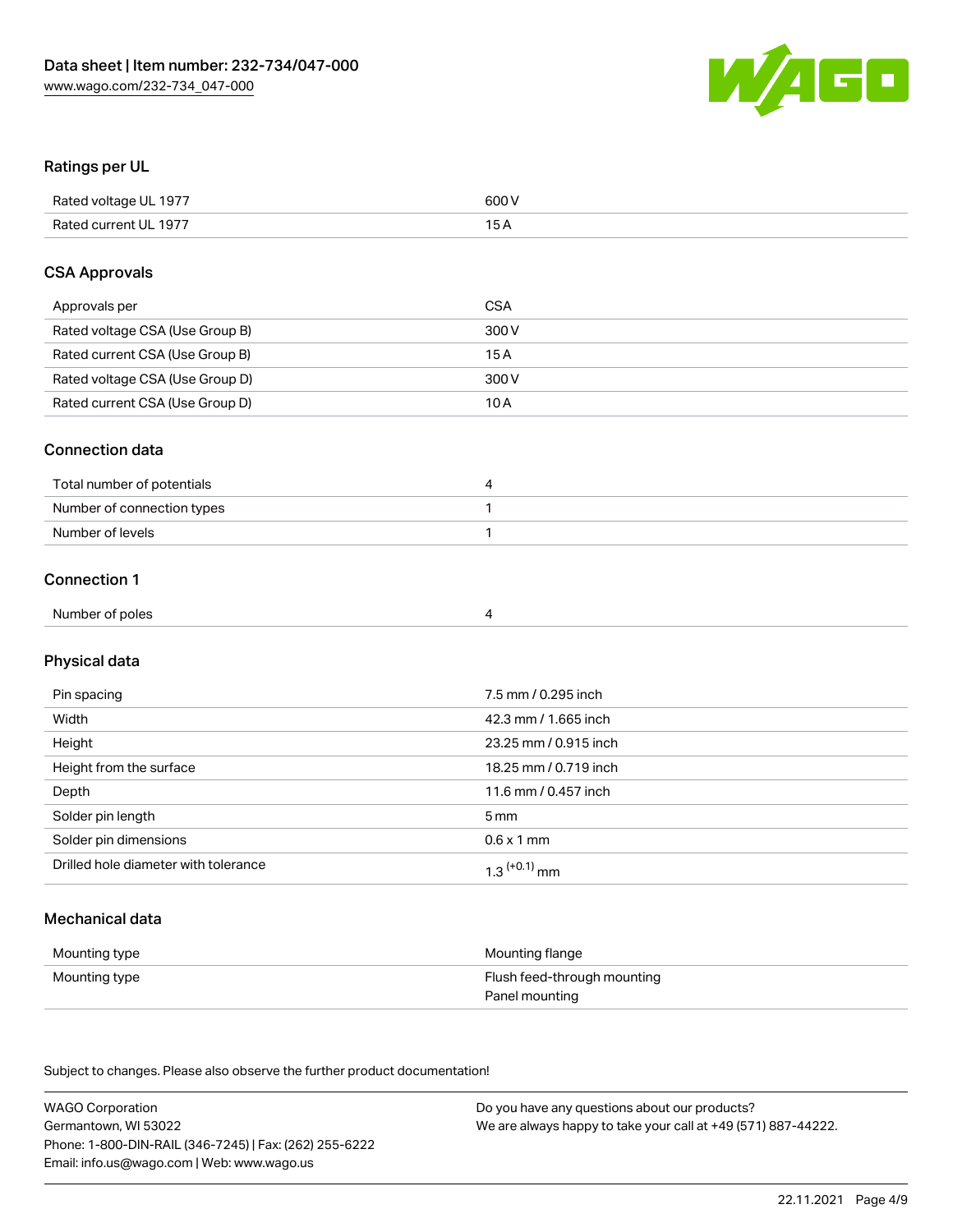

### Ratings per UL

| Rated voltage UL 1977 | 600 V |
|-----------------------|-------|
| Rated current UL 1977 |       |

### CSA Approvals

| Approvals per                   | CSA   |
|---------------------------------|-------|
| Rated voltage CSA (Use Group B) | 300 V |
| Rated current CSA (Use Group B) | 15 A  |
| Rated voltage CSA (Use Group D) | 300 V |
| Rated current CSA (Use Group D) | 10 A  |

### Connection data

| Total number of potentials |  |
|----------------------------|--|
| Number of connection types |  |
| Number of levels           |  |

### Connection 1

| Number of poles |  |  |
|-----------------|--|--|
|                 |  |  |

# Physical data

| Pin spacing                          | 7.5 mm / 0.295 inch        |
|--------------------------------------|----------------------------|
| Width                                | 42.3 mm / 1.665 inch       |
| Height                               | 23.25 mm / 0.915 inch      |
| Height from the surface              | 18.25 mm / 0.719 inch      |
| Depth                                | 11.6 mm / 0.457 inch       |
| Solder pin length                    | 5 mm                       |
| Solder pin dimensions                | $0.6 \times 1$ mm          |
| Drilled hole diameter with tolerance | $1.3$ <sup>(+0.1)</sup> mm |

## Mechanical data

| Mounting type | Mounting flange             |
|---------------|-----------------------------|
| Mounting type | Flush feed-through mounting |
|               | Panel mounting              |

Subject to changes. Please also observe the further product documentation!

| <b>WAGO Corporation</b>                                | Do you have any questions about our products?                 |
|--------------------------------------------------------|---------------------------------------------------------------|
| Germantown, WI 53022                                   | We are always happy to take your call at +49 (571) 887-44222. |
| Phone: 1-800-DIN-RAIL (346-7245)   Fax: (262) 255-6222 |                                                               |
| Email: info.us@wago.com   Web: www.wago.us             |                                                               |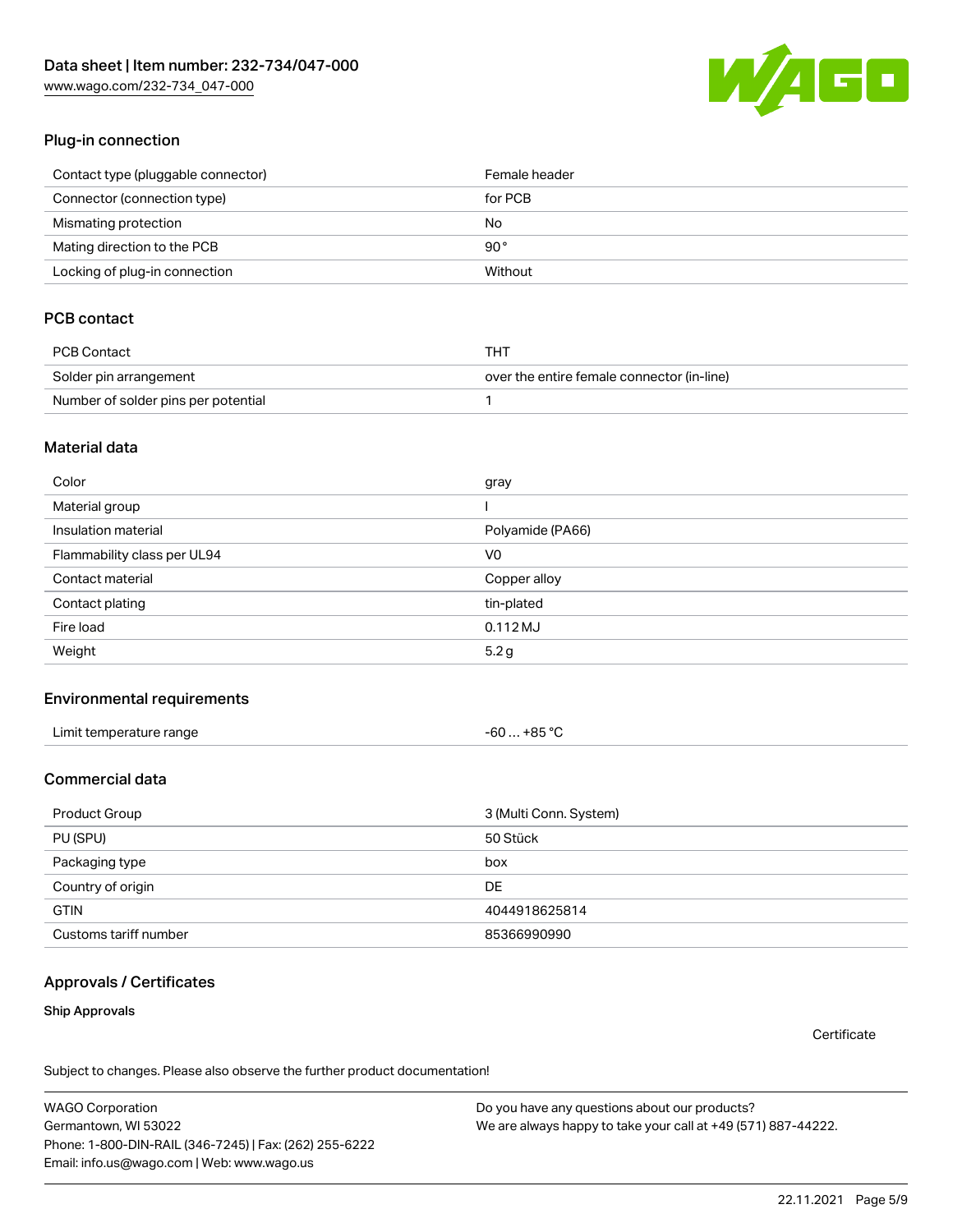[www.wago.com/232-734\\_047-000](http://www.wago.com/232-734_047-000)



### Plug-in connection

| Contact type (pluggable connector) | Female header |
|------------------------------------|---------------|
| Connector (connection type)        | for PCB       |
| Mismating protection               | No            |
| Mating direction to the PCB        | 90°           |
| Locking of plug-in connection      | Without       |

## PCB contact

| <b>PCB Contact</b>                  | THT                                        |
|-------------------------------------|--------------------------------------------|
| Solder pin arrangement              | over the entire female connector (in-line) |
| Number of solder pins per potential |                                            |

### Material data

| Color                       | gray             |
|-----------------------------|------------------|
| Material group              |                  |
| Insulation material         | Polyamide (PA66) |
| Flammability class per UL94 | V0               |
| Contact material            | Copper alloy     |
| Contact plating             | tin-plated       |
| Fire load                   | $0.112$ MJ       |
| Weight                      | 5.2 <sub>g</sub> |

### Environmental requirements

| Limit temperature range | -60  +85 °C |
|-------------------------|-------------|
|-------------------------|-------------|

## Commercial data

| Product Group         | 3 (Multi Conn. System) |
|-----------------------|------------------------|
| PU (SPU)              | 50 Stück               |
| Packaging type        | box                    |
| Country of origin     | DE                     |
| <b>GTIN</b>           | 4044918625814          |
| Customs tariff number | 85366990990            |

### Approvals / Certificates

### Ship Approvals

**Certificate** 

Subject to changes. Please also observe the further product documentation!

WAGO Corporation Germantown, WI 53022 Phone: 1-800-DIN-RAIL (346-7245) | Fax: (262) 255-6222 Email: info.us@wago.com | Web: www.wago.us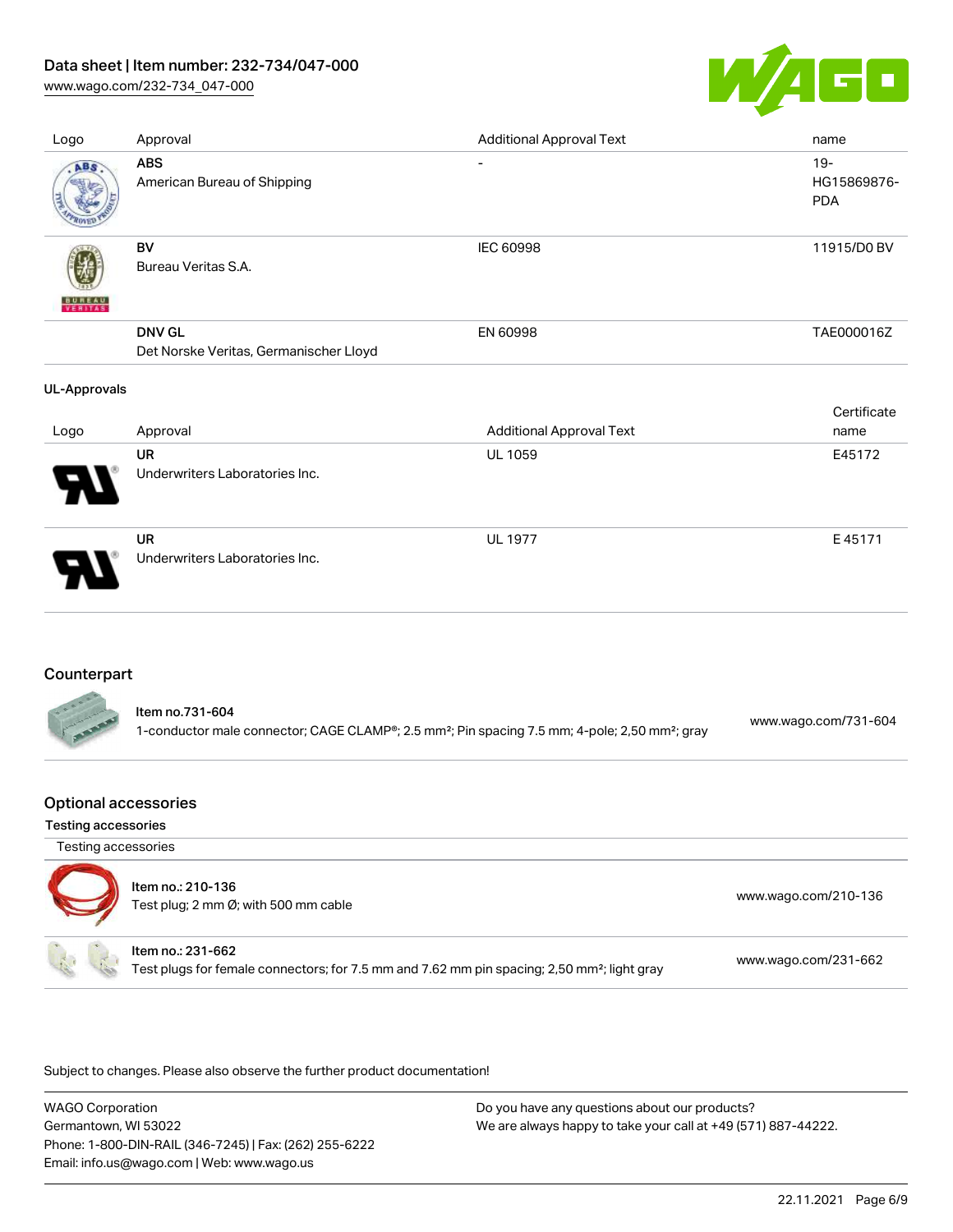### Data sheet | Item number: 232-734/047-000

[www.wago.com/232-734\\_047-000](http://www.wago.com/232-734_047-000)



| Logo                | Approval                                                | <b>Additional Approval Text</b> | name                                |
|---------------------|---------------------------------------------------------|---------------------------------|-------------------------------------|
| ABS                 | <b>ABS</b><br>American Bureau of Shipping               | $\overline{\phantom{a}}$        | $19 -$<br>HG15869876-<br><b>PDA</b> |
| VERITAS             | <b>BV</b><br>Bureau Veritas S.A.                        | IEC 60998                       | 11915/D0 BV                         |
|                     | <b>DNV GL</b><br>Det Norske Veritas, Germanischer Lloyd | EN 60998                        | TAE000016Z                          |
| <b>UL-Approvals</b> |                                                         |                                 |                                     |
|                     |                                                         |                                 | Certificate                         |
| Logo                | Approval                                                | <b>Additional Approval Text</b> | name                                |
|                     | <b>UR</b><br>Underwriters Laboratories Inc.             | <b>UL 1059</b>                  | E45172                              |
|                     | <b>UR</b><br>Underwriters Laboratories Inc.             | <b>UL 1977</b>                  | E45171                              |

### Counterpart

|                 | ltem no.731-604                                                                                                        | www.wago.com/731-604 |
|-----------------|------------------------------------------------------------------------------------------------------------------------|----------------------|
| <b>CONTRACT</b> | 1-conductor male connector; CAGE CLAMP®; 2.5 mm <sup>2</sup> ; Pin spacing 7.5 mm; 4-pole; 2,50 mm <sup>2</sup> ; gray |                      |

### Optional accessories

#### Testing accessories

| Testing accessories |                                                                                                                              |                      |
|---------------------|------------------------------------------------------------------------------------------------------------------------------|----------------------|
|                     | Item no.: 210-136<br>Test plug; 2 mm Ø; with 500 mm cable                                                                    | www.wago.com/210-136 |
|                     | Item no.: 231-662<br>Test plugs for female connectors; for 7.5 mm and 7.62 mm pin spacing; 2,50 mm <sup>2</sup> ; light gray | www.wago.com/231-662 |

Subject to changes. Please also observe the further product documentation!

WAGO Corporation Germantown, WI 53022 Phone: 1-800-DIN-RAIL (346-7245) | Fax: (262) 255-6222 Email: info.us@wago.com | Web: www.wago.us Do you have any questions about our products? We are always happy to take your call at +49 (571) 887-44222.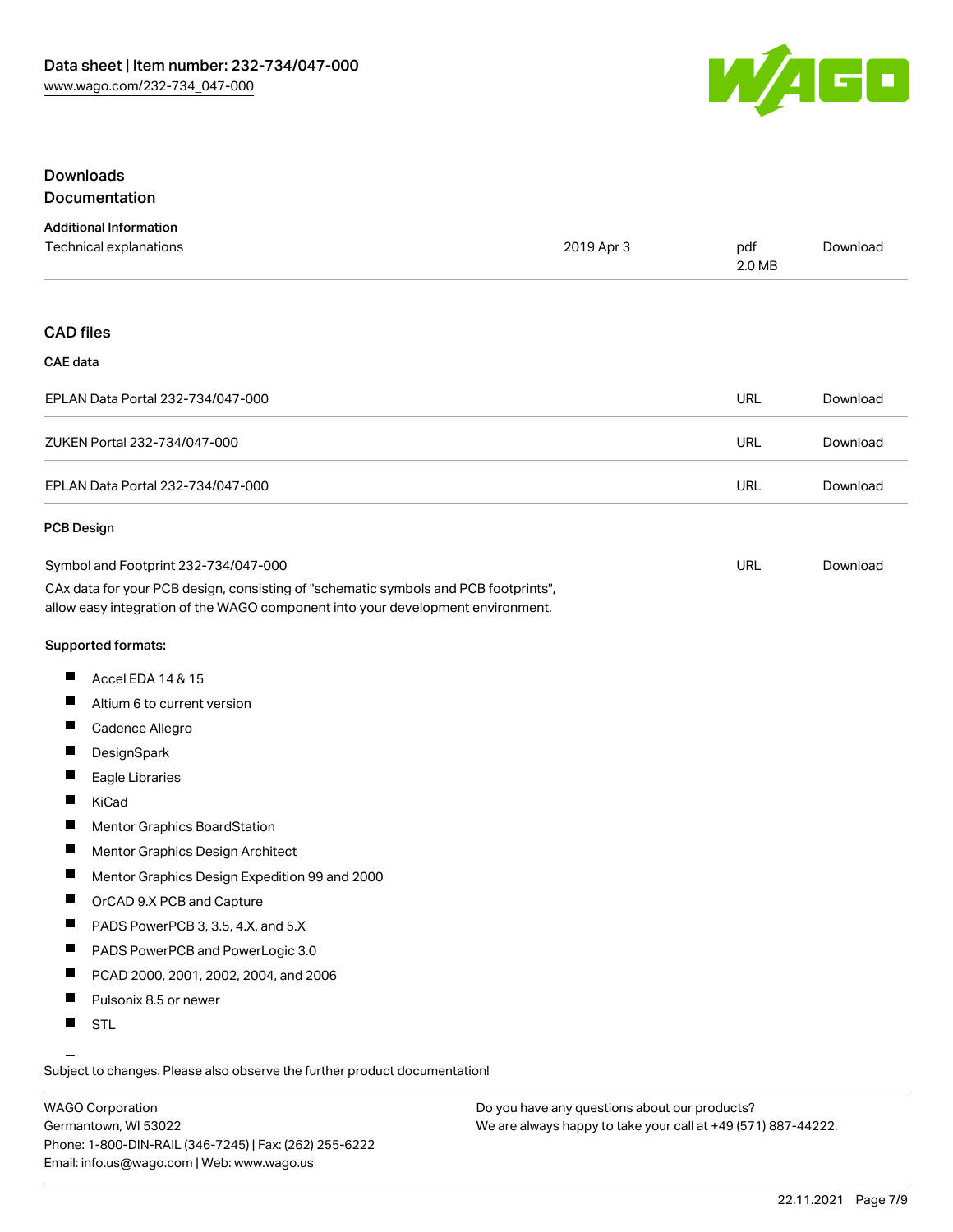

### **Downloads** Documentation

#### Additional Information Technical explanations 2019 Apr 3 pdf 2.0 MB [Download](https://www.wago.com/global/d/1435602)

### CAD files

#### CAE data

| EPLAN Data Portal 232-734/047-000 | URL | Download |
|-----------------------------------|-----|----------|
| ZUKEN Portal 232-734/047-000      | URL | Download |
| EPLAN Data Portal 232-734/047-000 | URL | Download |

#### PCB Design

| Symbol and Footprint 232-734/047-000                                                | URL | Download |
|-------------------------------------------------------------------------------------|-----|----------|
| CAx data for your PCB design, consisting of "schematic symbols and PCB footprints", |     |          |
| allow easy integration of the WAGO component into your development environment.     |     |          |

Supported formats:

- П Accel EDA 14 & 15
- П Altium 6 to current version
- $\blacksquare$ Cadence Allegro
- $\blacksquare$ **DesignSpark**
- П Eagle Libraries
- $\blacksquare$ KiCad
- $\blacksquare$ Mentor Graphics BoardStation
- $\blacksquare$ Mentor Graphics Design Architect
- $\blacksquare$ Mentor Graphics Design Expedition 99 and 2000
- $\blacksquare$ OrCAD 9.X PCB and Capture
- $\blacksquare$ PADS PowerPCB 3, 3.5, 4.X, and 5.X
- $\blacksquare$ PADS PowerPCB and PowerLogic 3.0
- $\blacksquare$ PCAD 2000, 2001, 2002, 2004, and 2006
- $\blacksquare$ Pulsonix 8.5 or newer
- П STL

Subject to changes. Please also observe the further product documentation!

WAGO Corporation Germantown, WI 53022 Phone: 1-800-DIN-RAIL (346-7245) | Fax: (262) 255-6222 Email: info.us@wago.com | Web: www.wago.us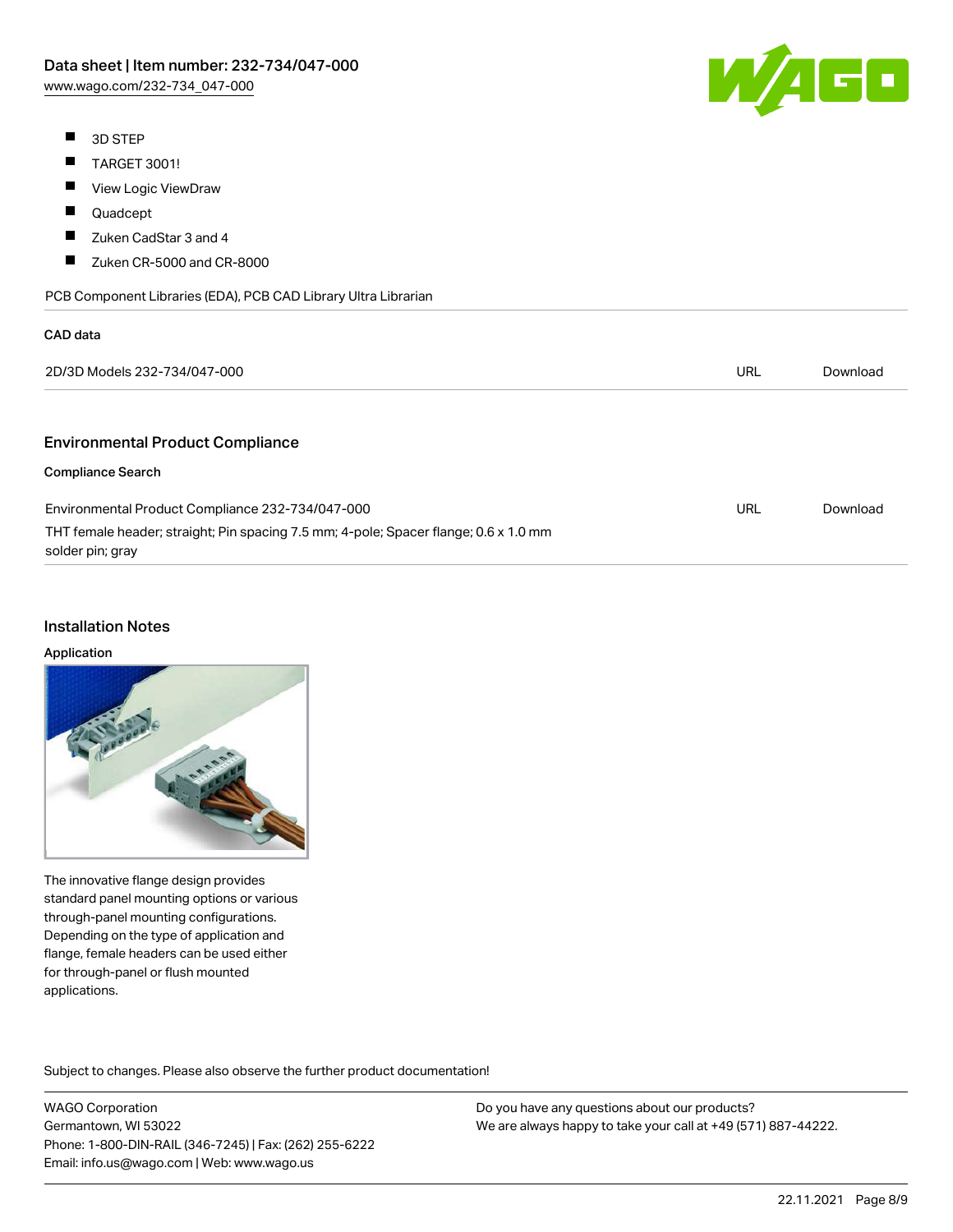- **3D STEP**
- $\blacksquare$ TARGET 3001!
- $\blacksquare$ View Logic ViewDraw
- $\blacksquare$ Quadcept
- $\blacksquare$ Zuken CadStar 3 and 4
- $\blacksquare$ Zuken CR-5000 and CR-8000

| PCB Component Libraries (EDA), PCB CAD Library Ultra Librarian |  |
|----------------------------------------------------------------|--|



| <b>CAD</b> data                                                                                          |     |          |
|----------------------------------------------------------------------------------------------------------|-----|----------|
| 2D/3D Models 232-734/047-000                                                                             | URL | Download |
|                                                                                                          |     |          |
| <b>Environmental Product Compliance</b>                                                                  |     |          |
| <b>Compliance Search</b>                                                                                 |     |          |
| Environmental Product Compliance 232-734/047-000                                                         | URL | Download |
| THT female header; straight; Pin spacing 7.5 mm; 4-pole; Spacer flange; 0.6 x 1.0 mm<br>solder pin; gray |     |          |

### Installation Notes

#### Application

The innovative flange design provides standard panel mounting options or various through-panel mounting configurations. Depending on the type of application and flange, female headers can be used either for through-panel or flush mounted applications.

Subject to changes. Please also observe the further product documentation! Product family

WAGO Corporation Germantown, WI 53022 Phone: 1-800-DIN-RAIL (346-7245) | Fax: (262) 255-6222 Email: info.us@wago.com | Web: www.wago.us